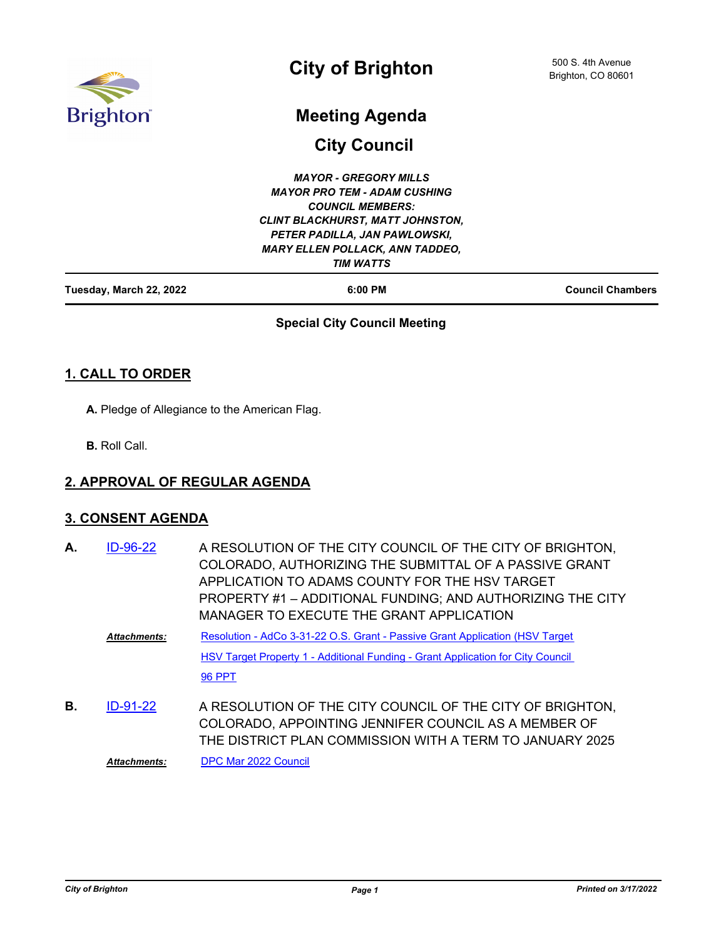

# **City of Brighton**

## **Meeting Agenda**

**City Council**

| <b>Council Chambers</b>                 |
|-----------------------------------------|
|                                         |
| <b>MARY ELLEN POLLACK, ANN TADDEO,</b>  |
|                                         |
| <b>CLINT BLACKHURST, MATT JOHNSTON,</b> |
|                                         |
|                                         |
|                                         |
|                                         |

#### **Special City Council Meeting**

## **1. CALL TO ORDER**

**A.** Pledge of Allegiance to the American Flag.

**B.** Roll Call.

#### **2. APPROVAL OF REGULAR AGENDA**

#### **3. CONSENT AGENDA**

| А. | ID-96-22            | A RESOLUTION OF THE CITY COUNCIL OF THE CITY OF BRIGHTON,<br>COLORADO, AUTHORIZING THE SUBMITTAL OF A PASSIVE GRANT<br>APPLICATION TO ADAMS COUNTY FOR THE HSV TARGET<br>PROPERTY #1 - ADDITIONAL FUNDING; AND AUTHORIZING THE CITY<br>MANAGER TO EXECUTE THE GRANT APPLICATION |
|----|---------------------|---------------------------------------------------------------------------------------------------------------------------------------------------------------------------------------------------------------------------------------------------------------------------------|
|    | <b>Attachments:</b> | Resolution - AdCo 3-31-22 O.S. Grant - Passive Grant Application (HSV Target                                                                                                                                                                                                    |
|    |                     | <b>HSV Target Property 1 - Additional Funding - Grant Application for City Council</b>                                                                                                                                                                                          |
|    |                     | <b>96 PPT</b>                                                                                                                                                                                                                                                                   |
| В. | $ID-91-22$          | A RESOLUTION OF THE CITY COUNCIL OF THE CITY OF BRIGHTON,<br>COLORADO, APPOINTING JENNIFER COUNCIL AS A MEMBER OF<br>THE DISTRICT PLAN COMMISSION WITH A TERM TO JANUARY 2025                                                                                                   |

*Attachments:* [DPC Mar 2022 Council](http://brightonco.legistar.com/gateway.aspx?M=F&ID=f8946fa5-f040-4e15-aacf-7d144d48e6ad.doc)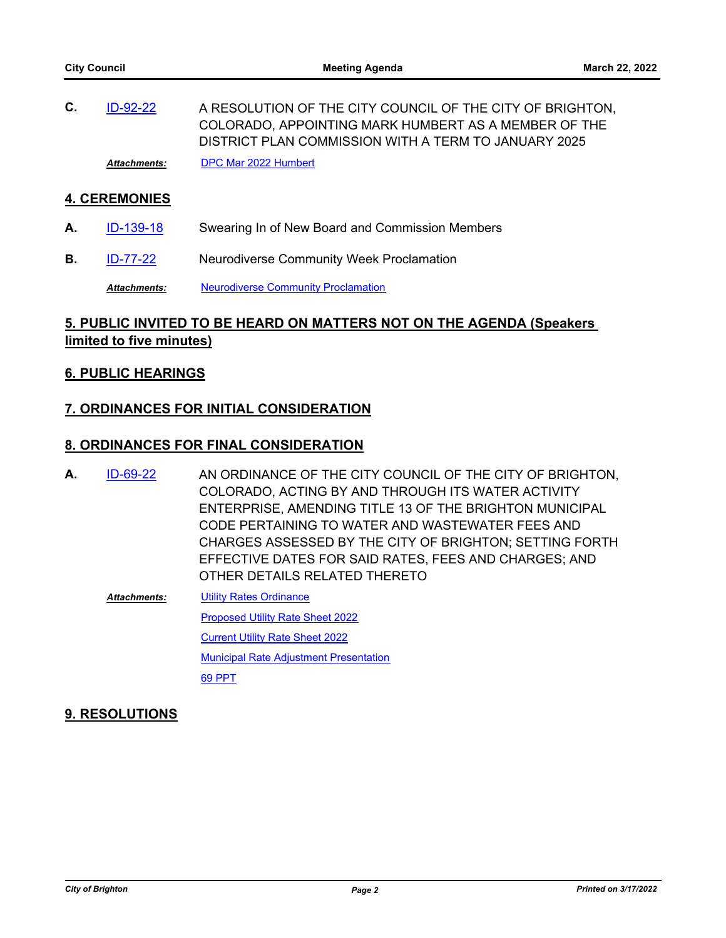A RESOLUTION OF THE CITY COUNCIL OF THE CITY OF BRIGHTON, COLORADO, APPOINTING MARK HUMBERT AS A MEMBER OF THE DISTRICT PLAN COMMISSION WITH A TERM TO JANUARY 2025 **C.** [ID-92-22](http://brightonco.legistar.com/gateway.aspx?m=l&id=/matter.aspx?key=4731) *Attachments:* [DPC Mar 2022 Humbert](http://brightonco.legistar.com/gateway.aspx?M=F&ID=7bf92e35-7109-4a3c-a92b-265ae52cc5ed.doc)

#### **4. CEREMONIES**

- A. [ID-139-18](http://brightonco.legistar.com/gateway.aspx?m=l&id=/matter.aspx?key=2953) Swearing In of New Board and Commission Members
- **B.** [ID-77-22](http://brightonco.legistar.com/gateway.aspx?m=l&id=/matter.aspx?key=4716) Neurodiverse Community Week Proclamation

**Attachments:** [Neurodiverse Community Proclamation](http://brightonco.legistar.com/gateway.aspx?M=F&ID=a02ebf7f-5234-4c8c-b4d1-a9f4d034e818.pdf)

## **5. PUBLIC INVITED TO BE HEARD ON MATTERS NOT ON THE AGENDA (Speakers limited to five minutes)**

#### **6. PUBLIC HEARINGS**

#### **7. ORDINANCES FOR INITIAL CONSIDERATION**

#### **8. ORDINANCES FOR FINAL CONSIDERATION**

- AN ORDINANCE OF THE CITY COUNCIL OF THE CITY OF BRIGHTON, COLORADO, ACTING BY AND THROUGH ITS WATER ACTIVITY ENTERPRISE, AMENDING TITLE 13 OF THE BRIGHTON MUNICIPAL CODE PERTAINING TO WATER AND WASTEWATER FEES AND CHARGES ASSESSED BY THE CITY OF BRIGHTON; SETTING FORTH EFFECTIVE DATES FOR SAID RATES, FEES AND CHARGES; AND OTHER DETAILS RELATED THERETO **A.** [ID-69-22](http://brightonco.legistar.com/gateway.aspx?m=l&id=/matter.aspx?key=4708)
	- [Utility Rates Ordinance](http://brightonco.legistar.com/gateway.aspx?M=F&ID=b6a4eea0-b90b-417b-9fa1-c06d440cf008.docx) [Proposed Utility Rate Sheet 2022](http://brightonco.legistar.com/gateway.aspx?M=F&ID=b2b0e66c-87a3-4b14-b3e9-dde71c66574e.pdf) [Current Utility Rate Sheet 2022](http://brightonco.legistar.com/gateway.aspx?M=F&ID=5d96b0a7-6249-43a7-9437-c68f6109524a.pdf) **[Municipal Rate Adjustment Presentation](http://brightonco.legistar.com/gateway.aspx?M=F&ID=688a5da9-a397-43e2-8a44-9446738f5486.pptx)** [69 PPT](http://brightonco.legistar.com/gateway.aspx?M=F&ID=7c67c273-6b63-4a62-8ad4-615832f69b65.pdf) *Attachments:*

#### **9. RESOLUTIONS**